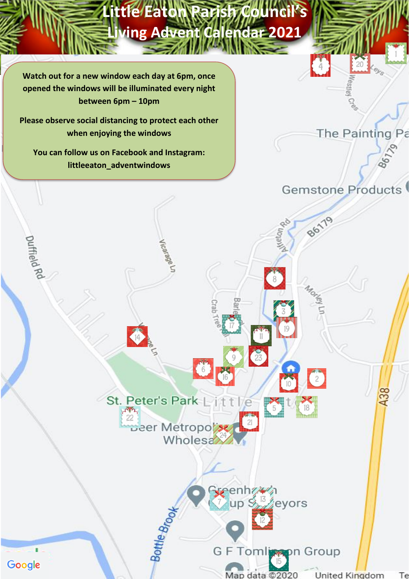

**Little Eaton Parish Council's Little Eaton Parish Council's** 

**Living Advent Calendar 2021**

**Lis Adventure Calendar 2021** 

**Please consider when enjoying the windows and a social distance when**  $\blacksquare$ **Please observe social distancing to protect each other** 

**enjoying the windows You can follow us on Facebook and Instagram: littleeaton\_adventwindows**

Vicarage Un

St. Peter's Park Li

Deer Metropo

**Wholesa** 

enhz4

eyors

Duffield Rd

Google



86179

 $\frac{2}{2}$ 

The Painting Pa

Bottle Brood G F Tomlingen Group

Map data @2020 **United Kingdom** Тe